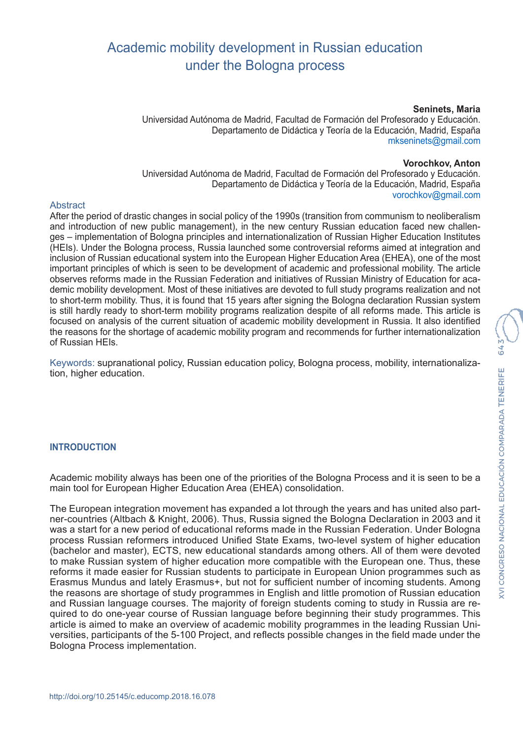# Academic mobility development in Russian education under the Bologna process

#### **Seninets, Maria**

Universidad Autónoma de Madrid, Facultad de Formación del Profesorado y Educación. Departamento de Didáctica y Teoría de la Educación, Madrid, España mkseninets@gmail.com

#### **Vorochkov, Anton**

Universidad Autónoma de Madrid, Facultad de Formación del Profesorado y Educación. Departamento de Didáctica y Teoría de la Educación, Madrid, España vorochkov@gmail.com

#### Abstract

After the period of drastic changes in social policy of the 1990s (transition from communism to neoliberalism and introduction of new public management), in the new century Russian education faced new challenges – implementation of Bologna principles and internationalization of Russian Higher Education Institutes (HEIs). Under the Bologna process, Russia launched some controversial reforms aimed at integration and inclusion of Russian educational system into the European Higher Education Area (EHEA), one of the most important principles of which is seen to be development of academic and professional mobility. The article observes reforms made in the Russian Federation and initiatives of Russian Ministry of Education for academic mobility development. Most of these initiatives are devoted to full study programs realization and not to short-term mobility. Thus, it is found that 15 years after signing the Bologna declaration Russian system is still hardly ready to short-term mobility programs realization despite of all reforms made. This article is focused on analysis of the current situation of academic mobility development in Russia. It also identified the reasons for the shortage of academic mobility program and recommends for further internationalization of Russian HEIs.

Keywords: supranational policy, Russian education policy, Bologna process, mobility, internationalization, higher education.

#### **INTRODUCTION**

Academic mobility always has been one of the priorities of the Bologna Process and it is seen to be a main tool for European Higher Education Area (EHEA) consolidation.

The European integration movement has expanded a lot through the years and has united also partner-countries (Altbach & Knight, 2006). Thus, Russia signed the Bologna Declaration in 2003 and it was a start for a new period of educational reforms made in the Russian Federation. Under Bologna process Russian reformers introduced Unified State Exams, two-level system of higher education (bachelor and master), ECTS, new educational standards among others. All of them were devoted to make Russian system of higher education more compatible with the European one. Thus, these reforms it made easier for Russian students to participate in European Union programmes such as Erasmus Mundus and lately Erasmus+, but not for sufficient number of incoming students. Among the reasons are shortage of study programmes in English and little promotion of Russian education and Russian language courses. The majority of foreign students coming to study in Russia are required to do one-year course of Russian language before beginning their study programmes. This article is aimed to make an overview of academic mobility programmes in the leading Russian Universities, participants of the 5-100 Project, and reflects possible changes in the field made under the Bologna Process implementation.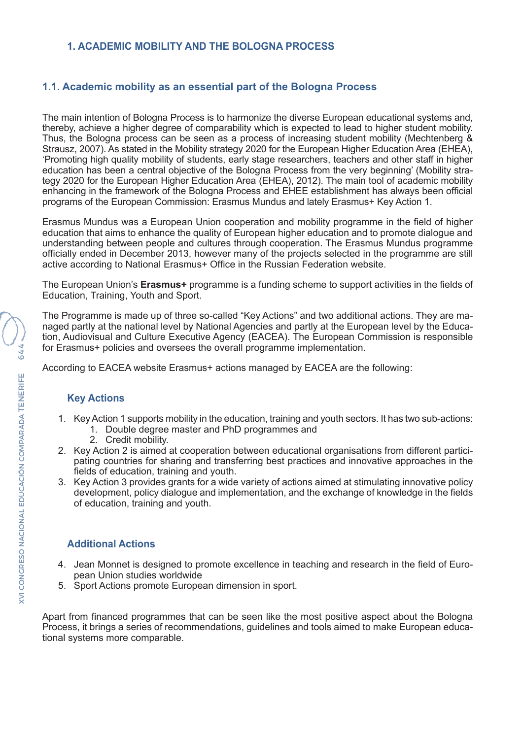#### **1. ACADEMIC MOBILITY AND THE BOLOGNA PROCESS**

### **1.1. Academic mobility as an essential part of the Bologna Process**

The main intention of Bologna Process is to harmonize the diverse European educational systems and, thereby, achieve a higher degree of comparability which is expected to lead to higher student mobility. Thus, the Bologna process can be seen as a process of increasing student mobility (Mechtenberg & Strausz, 2007). As stated in the Mobility strategy 2020 for the European Higher Education Area (EHEA), 'Promoting high quality mobility of students, early stage researchers, teachers and other staff in higher education has been a central objective of the Bologna Process from the very beginning' (Mobility strategy 2020 for the European Higher Education Area (EHEA), 2012). The main tool of academic mobility enhancing in the framework of the Bologna Process and EHEE establishment has always been official programs of the European Commission: Erasmus Mundus and lately Erasmus+ Key Action 1.

Erasmus Mundus was a European Union cooperation and mobility programme in the field of higher education that aims to enhance the quality of European higher education and to promote dialogue and understanding between people and cultures through cooperation. The Erasmus Mundus programme officially ended in December 2013, however many of the projects selected in the programme are still active according to National Erasmus+ Office in the Russian Federation website.

The European Union's **Erasmus+** programme is a funding scheme to support activities in the fields of Education, Training, Youth and Sport.

The Programme is made up of three so-called "Key Actions" and two additional actions. They are managed partly at the national level by National Agencies and partly at the European level by the Education, Audiovisual and Culture Executive Agency (EACEA). The European Commission is responsible for Erasmus+ policies and oversees the overall programme implementation.

According to EACEA website Erasmus+ actions managed by EACEA are the following:

# **Key Actions**

- 1. Key Action 1 supports mobility in the education, training and youth sectors. It has two sub-actions: 1. Double degree master and PhD programmes and
	- 2. Credit mobility.
- 2. Key Action 2 is aimed at cooperation between educational organisations from different participating countries for sharing and transferring best practices and innovative approaches in the fields of education, training and youth.
- 3. Key Action 3 provides grants for a wide variety of actions aimed at stimulating innovative policy development, policy dialogue and implementation, and the exchange of knowledge in the fields of education, training and youth.

#### **Additional Actions**

- 4. Jean Monnet is designed to promote excellence in teaching and research in the field of European Union studies worldwide
- 5. Sport Actions promote European dimension in sport.

Apart from financed programmes that can be seen like the most positive aspect about the Bologna Process, it brings a series of recommendations, guidelines and tools aimed to make European educational systems more comparable.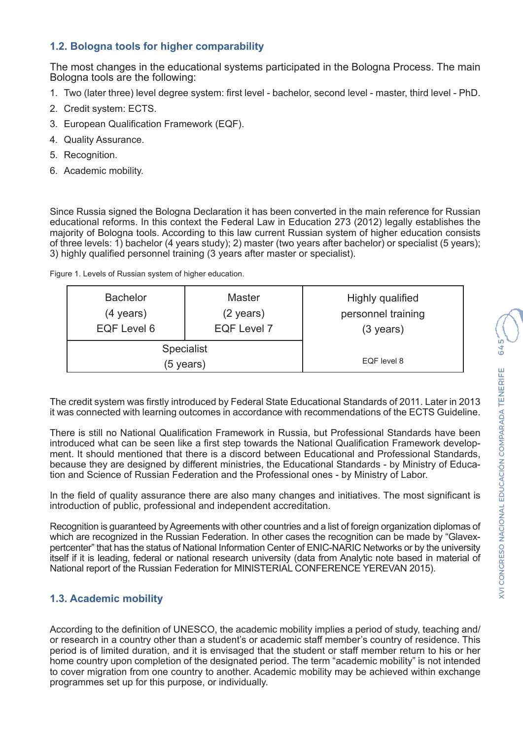# **1.2. Bologna tools for higher comparability**

The most changes in the educational systems participated in the Bologna Process. The main Bologna tools are the following:

- 1. Two (later three) level degree system: first level bachelor, second level master, third level PhD.
- 2. Credit system: ECTS.
- 3. European Qualification Framework (EQF).
- 4. Quality Assurance.
- 5. Recognition.
- 6. Academic mobility.

Since Russia signed the Bologna Declaration it has been converted in the main reference for Russian educational reforms. In this context the Federal Law in Education 273 (2012) legally establishes the majority of Bologna tools. According to this law current Russian system of higher education consists of three levels: 1) bachelor (4 years study); 2) master (two years after bachelor) or specialist (5 years); 3) highly qualified personnel training (3 years after master or specialist).

| <b>Bachelor</b>                | <b>Master</b>       | Highly qualified    |
|--------------------------------|---------------------|---------------------|
| $(4 \text{ years})$            | $(2 \text{ years})$ | personnel training  |
| EQF Level 6                    | <b>EQF Level 7</b>  | $(3 \text{ years})$ |
| <b>Specialist</b><br>(5 years) | EQF level 8         |                     |

The credit system was firstly introduced by Federal State Educational Standards of 2011. Later in 2013 it was connected with learning outcomes in accordance with recommendations of the ECTS Guideline.

There is still no National Qualification Framework in Russia, but Professional Standards have been introduced what can be seen like a first step towards the National Qualification Framework development. It should mentioned that there is a discord between Educational and Professional Standards, because they are designed by different ministries, the Educational Standards - by Ministry of Education and Science of Russian Federation and the Professional ones - by Ministry of Labor.

In the field of quality assurance there are also many changes and initiatives. The most significant is introduction of public, professional and independent accreditation.

Recognition is guaranteed by Agreements with other countries and a list of foreign organization diplomas of which are recognized in the Russian Federation. In other cases the recognition can be made by "Glavexpertcenter" that has the status of National Information Center of ENIC-NARIC Networks or by the university itself if it is leading, federal or national research university (data from Analytic note based in material of National report of the Russian Federation for MINISTERIAL CONFERENCE YEREVAN 2015).

# **1.3. Academic mobility**

According to the definition of UNESCO, the academic mobility implies a period of study, teaching and/ or research in a country other than a student's or academic staff member's country of residence. This period is of limited duration, and it is envisaged that the student or staff member return to his or her home country upon completion of the designated period. The term "academic mobility" is not intended to cover migration from one country to another. Academic mobility may be achieved within exchange programmes set up for this purpose, or individually.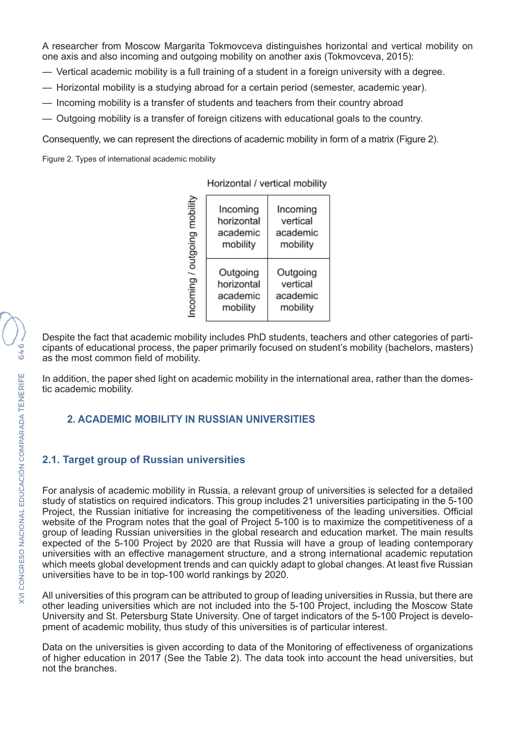A researcher from Moscow Margarita Tokmovceva distinguishes horizontal and vertical mobility on one axis and also incoming and outgoing mobility on another axis (Tokmovceva, 2015):

- Vertical academic mobility is a full training of a student in a foreign university with a degree.
- Horizontal mobility is a studying abroad for a certain period (semester, academic year).
- Incoming mobility is a transfer of students and teachers from their country abroad
- Outgoing mobility is a transfer of foreign citizens with educational goals to the country.

Consequently, we can represent the directions of academic mobility in form of a matrix (Figure 2).

Figure 2. Types of international academic mobility

Horizontal / vertical mobility

| mobility<br>putgoing<br>Incoming | Incoming<br>horizontal<br>academic<br>mobility | Incoming<br>vertical<br>academic<br>mobility |
|----------------------------------|------------------------------------------------|----------------------------------------------|
|                                  | Outgoing<br>horizontal<br>academic<br>mobility | Outgoing<br>vertical<br>academic<br>mobility |

Despite the fact that academic mobility includes PhD students, teachers and other categories of participants of educational process, the paper primarily focused on student's mobility (bachelors, masters) as the most common field of mobility.

In addition, the paper shed light on academic mobility in the international area, rather than the domestic academic mobility.

# **2. ACADEMIC MOBILITY IN RUSSIAN UNIVERSITIES**

# **2.1. Target group of Russian universities**

For analysis of academic mobility in Russia, a relevant group of universities is selected for a detailed study of statistics on required indicators. This group includes 21 universities participating in the 5-100 Project, the Russian initiative for increasing the competitiveness of the leading universities. Official website of the Program notes that the goal of Project 5-100 is to maximize the competitiveness of a group of leading Russian universities in the global research and education market. The main results expected of the 5-100 Project by 2020 are that Russia will have a group of leading contemporary universities with an effective management structure, and a strong international academic reputation which meets global development trends and can quickly adapt to global changes. At least five Russian universities have to be in top-100 world rankings by 2020.

All universities of this program can be attributed to group of leading universities in Russia, but there are other leading universities which are not included into the 5-100 Project, including the Moscow State University and St. Petersburg State University. One of target indicators of the 5-100 Project is development of academic mobility, thus study of this universities is of particular interest.

Data on the universities is given according to data of the Monitoring of effectiveness of organizations of higher education in 2017 (See the Table 2). The data took into account the head universities, but not the branches.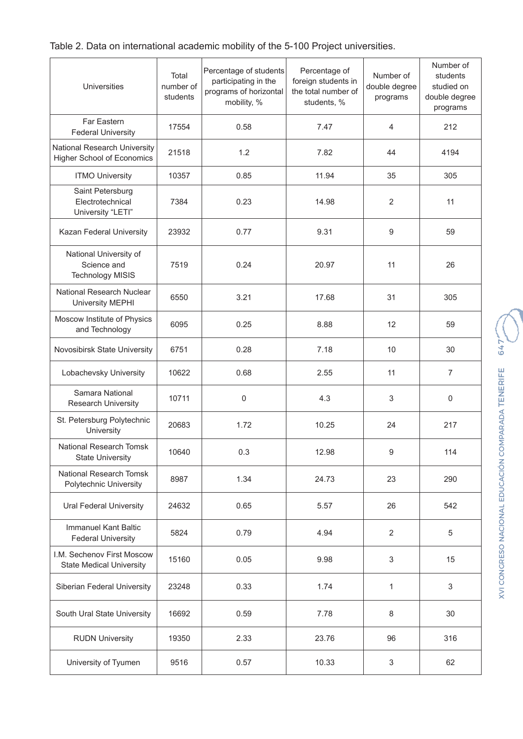| Table 2. Data on international academic mobility of the 5-100 Project universities. |  |  |  |
|-------------------------------------------------------------------------------------|--|--|--|
|-------------------------------------------------------------------------------------|--|--|--|

| <b>Universities</b>                                               | Total<br>number of<br>students | Percentage of students<br>participating in the<br>programs of horizontal<br>mobility, % | Percentage of<br>foreign students in<br>the total number of<br>students, % | Number of<br>double degree<br>programs | Number of<br>students<br>studied on<br>double degree<br>programs |
|-------------------------------------------------------------------|--------------------------------|-----------------------------------------------------------------------------------------|----------------------------------------------------------------------------|----------------------------------------|------------------------------------------------------------------|
| Far Eastern<br><b>Federal University</b>                          | 17554                          | 0.58                                                                                    | 7.47                                                                       | 4                                      | 212                                                              |
| National Research University<br><b>Higher School of Economics</b> | 21518                          | 1.2                                                                                     | 7.82                                                                       | 44                                     | 4194                                                             |
| <b>ITMO University</b>                                            | 10357                          | 0.85                                                                                    | 11.94                                                                      | 35                                     | 305                                                              |
| Saint Petersburg<br>Electrotechnical<br>University "LETI"         | 7384                           | 0.23                                                                                    | 14.98                                                                      | $\overline{2}$                         | 11                                                               |
| Kazan Federal University                                          | 23932                          | 0.77                                                                                    | 9.31                                                                       | 9                                      | 59                                                               |
| National University of<br>Science and<br><b>Technology MISIS</b>  | 7519                           | 0.24                                                                                    | 20.97                                                                      | 11                                     | 26                                                               |
| National Research Nuclear<br><b>University MEPHI</b>              | 6550                           | 3.21                                                                                    | 17.68                                                                      | 31                                     | 305                                                              |
| Moscow Institute of Physics<br>and Technology                     | 6095                           | 0.25                                                                                    | 8.88                                                                       | 12                                     | 59                                                               |
| Novosibirsk State University                                      | 6751                           | 0.28                                                                                    | 7.18                                                                       | 10                                     | 30                                                               |
| Lobachevsky University                                            | 10622                          | 0.68                                                                                    | 2.55                                                                       | 11                                     | $\overline{7}$                                                   |
| Samara National<br>Research University                            | 10711                          | 0                                                                                       | 4.3                                                                        | 3                                      | $\mathsf 0$                                                      |
| St. Petersburg Polytechnic<br>University                          | 20683                          | 1.72                                                                                    | 10.25                                                                      | 24                                     | 217                                                              |
| National Research Tomsk<br><b>State University</b>                | 10640                          | 0.3                                                                                     | 12.98                                                                      | 9                                      | 114                                                              |
| National Research Tomsk<br>Polytechnic University                 | 8987                           | 1.34                                                                                    | 24.73                                                                      | 23                                     | 290                                                              |
| <b>Ural Federal University</b>                                    | 24632                          | 0.65                                                                                    | 5.57                                                                       | 26                                     | 542                                                              |
| <b>Immanuel Kant Baltic</b><br><b>Federal University</b>          | 5824                           | 0.79                                                                                    | 4.94                                                                       | $\overline{2}$                         | 5                                                                |
| I.M. Sechenov First Moscow<br><b>State Medical University</b>     | 15160                          | 0.05                                                                                    | 9.98                                                                       | 3                                      | 15                                                               |
| Siberian Federal University                                       | 23248                          | 0.33                                                                                    | 1.74                                                                       | 1                                      | 3                                                                |
| South Ural State University                                       | 16692                          | 0.59                                                                                    | 7.78                                                                       | 8                                      | 30                                                               |
| <b>RUDN University</b>                                            | 19350                          | 2.33                                                                                    | 23.76                                                                      | 96                                     | 316                                                              |
| University of Tyumen                                              | 9516                           | 0.57                                                                                    | 10.33                                                                      | 3                                      | 62                                                               |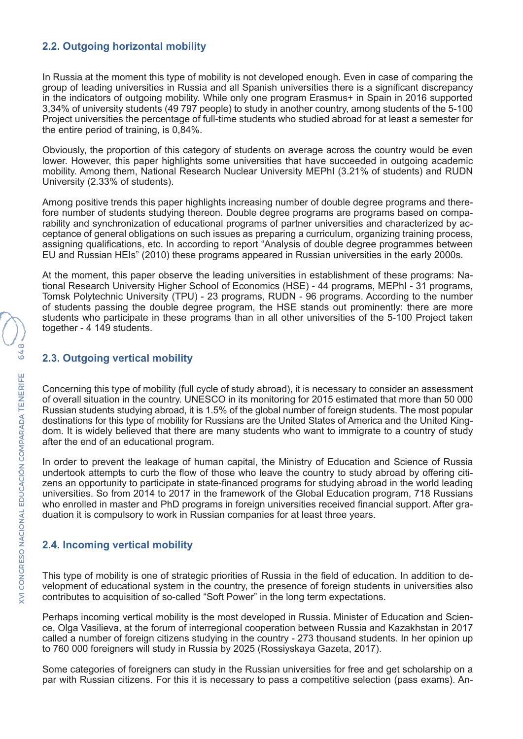### **2.2. Outgoing horizontal mobility**

In Russia at the moment this type of mobility is not developed enough. Even in case of comparing the group of leading universities in Russia and all Spanish universities there is a significant discrepancy in the indicators of outgoing mobility. While only one program Erasmus+ in Spain in 2016 supported 3,34% of university students (49 797 people) to study in another country, among students of the 5-100 Project universities the percentage of full-time students who studied abroad for at least a semester for the entire period of training, is 0,84%.

Obviously, the proportion of this category of students on average across the country would be even lower. However, this paper highlights some universities that have succeeded in outgoing academic mobility. Among them, National Research Nuclear University MEPhI (3.21% of students) and RUDN University (2.33% of students).

Among positive trends this paper highlights increasing number of double degree programs and therefore number of students studying thereon. Double degree programs are programs based on comparability and synchronization of educational programs of partner universities and characterized by acceptance of general obligations on such issues as preparing a curriculum, organizing training process, assigning qualifications, etc. In according to report "Analysis of double degree programmes between EU and Russian HEIs" (2010) these programs appeared in Russian universities in the early 2000s.

At the moment, this paper observe the leading universities in establishment of these programs: National Research University Higher School of Economics (HSE) - 44 programs, MEPhI - 31 programs, Tomsk Polytechnic University (TPU) - 23 programs, RUDN - 96 programs. According to the number of students passing the double degree program, the HSE stands out prominently: there are more students who participate in these programs than in all other universities of the 5-100 Project taken together - 4 149 students.

#### **2.3. Outgoing vertical mobility**

Concerning this type of mobility (full cycle of study abroad), it is necessary to consider an assessment of overall situation in the country. UNESCO in its monitoring for 2015 estimated that more than 50 000 Russian students studying abroad, it is 1.5% of the global number of foreign students. The most popular destinations for this type of mobility for Russians are the United States of America and the United Kingdom. It is widely believed that there are many students who want to immigrate to a country of study after the end of an educational program.

In order to prevent the leakage of human capital, the Ministry of Education and Science of Russia undertook attempts to curb the flow of those who leave the country to study abroad by offering citizens an opportunity to participate in state-financed programs for studying abroad in the world leading universities. So from 2014 to 2017 in the framework of the Global Education program, 718 Russians who enrolled in master and PhD programs in foreign universities received financial support. After graduation it is compulsory to work in Russian companies for at least three years.

# **2.4. Incoming vertical mobility**

This type of mobility is one of strategic priorities of Russia in the field of education. In addition to development of educational system in the country, the presence of foreign students in universities also contributes to acquisition of so-called "Soft Power" in the long term expectations.

Perhaps incoming vertical mobility is the most developed in Russia. Minister of Education and Science, Olga Vasilieva, at the forum of interregional cooperation between Russia and Kazakhstan in 2017 called a number of foreign citizens studying in the country - 273 thousand students. In her opinion up to 760 000 foreigners will study in Russia by 2025 (Rossiyskaya Gazeta, 2017).

Some categories of foreigners can study in the Russian universities for free and get scholarship on a par with Russian citizens. For this it is necessary to pass a competitive selection (pass exams). An-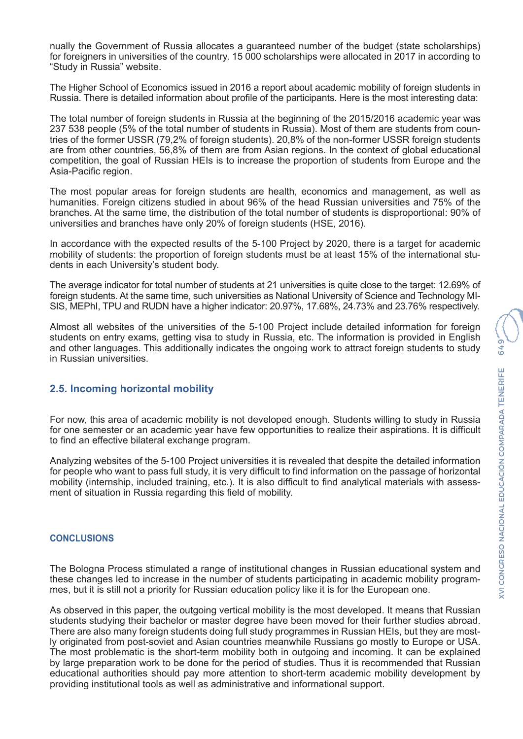nually the Government of Russia allocates a guaranteed number of the budget (state scholarships) for foreigners in universities of the country. 15 000 scholarships were allocated in 2017 in according to "Study in Russia" website.

The Higher School of Economics issued in 2016 a report about academic mobility of foreign students in Russia. There is detailed information about profile of the participants. Here is the most interesting data:

The total number of foreign students in Russia at the beginning of the 2015/2016 academic year was 237 538 people (5% of the total number of students in Russia). Most of them are students from countries of the former USSR (79,2% of foreign students). 20,8% of the non-former USSR foreign students are from other countries, 56,8% of them are from Asian regions. In the context of global educational competition, the goal of Russian HEIs is to increase the proportion of students from Europe and the Asia-Pacific region.

The most popular areas for foreign students are health, economics and management, as well as humanities. Foreign citizens studied in about 96% of the head Russian universities and 75% of the branches. At the same time, the distribution of the total number of students is disproportional: 90% of universities and branches have only 20% of foreign students (HSE, 2016).

In accordance with the expected results of the 5-100 Project by 2020, there is a target for academic mobility of students: the proportion of foreign students must be at least 15% of the international students in each University's student body.

The average indicator for total number of students at 21 universities is quite close to the target: 12.69% of foreign students. At the same time, such universities as National University of Science and Technology MI-SIS, MEPhI, TPU and RUDN have a higher indicator: 20.97%, 17.68%, 24.73% and 23.76% respectively.

Almost all websites of the universities of the 5-100 Project include detailed information for foreign students on entry exams, getting visa to study in Russia, etc. The information is provided in English and other languages. This additionally indicates the ongoing work to attract foreign students to study in Russian universities.

# **2.5. Incoming horizontal mobility**

For now, this area of academic mobility is not developed enough. Students willing to study in Russia for one semester or an academic year have few opportunities to realize their aspirations. It is difficult to find an effective bilateral exchange program.

Analyzing websites of the 5-100 Project universities it is revealed that despite the detailed information for people who want to pass full study, it is very difficult to find information on the passage of horizontal mobility (internship, included training, etc.). It is also difficult to find analytical materials with assessment of situation in Russia regarding this field of mobility.

#### **CONCLUSIONS**

The Bologna Process stimulated a range of institutional changes in Russian educational system and these changes led to increase in the number of students participating in academic mobility programmes, but it is still not a priority for Russian education policy like it is for the European one.

As observed in this paper, the outgoing vertical mobility is the most developed. It means that Russian students studying their bachelor or master degree have been moved for their further studies abroad. There are also many foreign students doing full study programmes in Russian HEIs, but they are mostly originated from post-soviet and Asian countries meanwhile Russians go mostly to Europe or USA. The most problematic is the short-term mobility both in outgoing and incoming. It can be explained by large preparation work to be done for the period of studies. Thus it is recommended that Russian educational authorities should pay more attention to short-term academic mobility development by providing institutional tools as well as administrative and informational support.